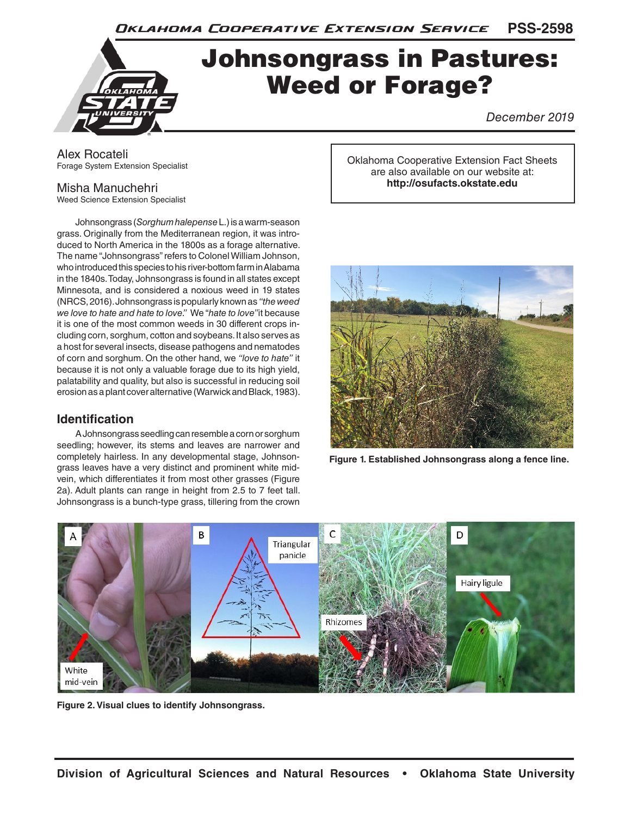**PSS-2598** Oklahoma Cooperative Extension Service

# Johnsongrass in Pastures: Weed or Forage?

*December 2019*

Alex Rocateli Forage System Extension Specialist

## Misha Manuchehri

Weed Science Extension Specialist

Johnsongrass (*Sorghum halepense* L.) is a warm-season grass. Originally from the Mediterranean region, it was introduced to North America in the 1800s as a forage alternative. The name "Johnsongrass" refers to Colonel William Johnson, who introduced this species to his river-bottom farm in Alabama in the 1840s. Today, Johnsongrass is found in all states except Minnesota, and is considered a noxious weed in 19 states (NRCS, 2016). Johnsongrass is popularly known as *"the weed we love to hate and hate to love."* We "*hate to love"* it because it is one of the most common weeds in 30 different crops including corn, sorghum, cotton and soybeans. It also serves as a host for several insects, disease pathogens and nematodes of corn and sorghum. On the other hand, we *"love to hate"* it because it is not only a valuable forage due to its high yield, palatability and quality, but also is successful in reducing soil erosion as a plant cover alternative (Warwick and Black, 1983).

## **Identification**

A Johnsongrass seedling can resemble a corn or sorghum seedling; however, its stems and leaves are narrower and completely hairless. In any developmental stage, Johnsongrass leaves have a very distinct and prominent white midvein, which differentiates it from most other grasses (Figure 2a). Adult plants can range in height from 2.5 to 7 feet tall. Johnsongrass is a bunch-type grass, tillering from the crown

Oklahoma Cooperative Extension Fact Sheets are also available on our website at: **http://osufacts.okstate.edu**



**Figure 1. Established Johnsongrass along a fence line.**



**Figure 2. Visual clues to identify Johnsongrass.**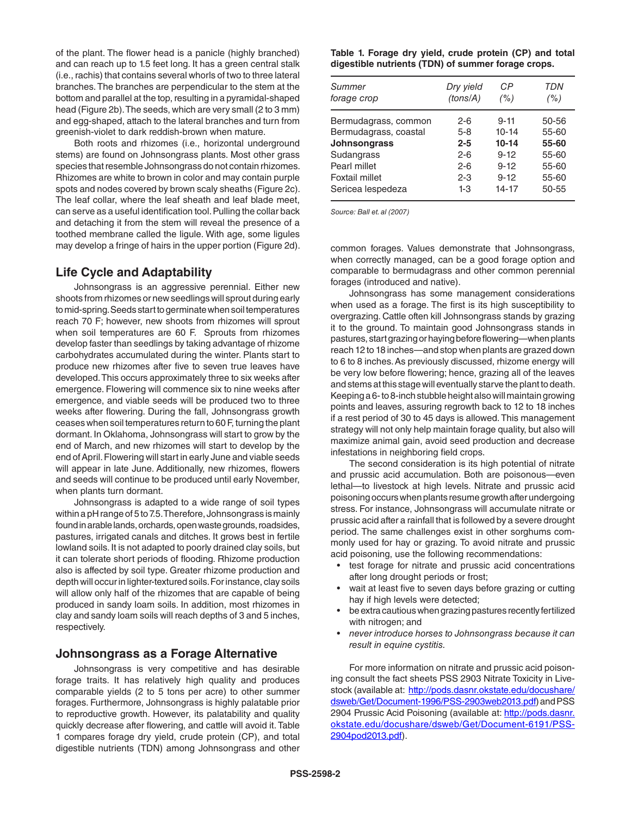of the plant. The flower head is a panicle (highly branched) and can reach up to 1.5 feet long. It has a green central stalk (i.e., rachis) that contains several whorls of two to three lateral branches. The branches are perpendicular to the stem at the bottom and parallel at the top, resulting in a pyramidal-shaped head (Figure 2b). The seeds, which are very small (2 to 3 mm) and egg-shaped, attach to the lateral branches and turn from greenish-violet to dark reddish-brown when mature.

Both roots and rhizomes (i.e., horizontal underground stems) are found on Johnsongrass plants. Most other grass species that resemble Johnsongrass do not contain rhizomes. Rhizomes are white to brown in color and may contain purple spots and nodes covered by brown scaly sheaths (Figure 2c). The leaf collar, where the leaf sheath and leaf blade meet, can serve as a useful identification tool. Pulling the collar back and detaching it from the stem will reveal the presence of a toothed membrane called the ligule. With age, some ligules may develop a fringe of hairs in the upper portion (Figure 2d).

## **Life Cycle and Adaptability**

Johnsongrass is an aggressive perennial. Either new shoots from rhizomes or new seedlings will sprout during early to mid-spring. Seeds start to germinate when soil temperatures reach 70 F; however, new shoots from rhizomes will sprout when soil temperatures are 60 F. Sprouts from rhizomes develop faster than seedlings by taking advantage of rhizome carbohydrates accumulated during the winter. Plants start to produce new rhizomes after five to seven true leaves have developed. This occurs approximately three to six weeks after emergence. Flowering will commence six to nine weeks after emergence, and viable seeds will be produced two to three weeks after flowering. During the fall, Johnsongrass growth ceases when soil temperatures return to 60 F, turning the plant dormant. In Oklahoma, Johnsongrass will start to grow by the end of March, and new rhizomes will start to develop by the end of April. Flowering will start in early June and viable seeds will appear in late June. Additionally, new rhizomes, flowers and seeds will continue to be produced until early November, when plants turn dormant.

Johnsongrass is adapted to a wide range of soil types within a pH range of 5 to 7.5. Therefore, Johnsongrass is mainly found in arable lands, orchards, open waste grounds, roadsides, pastures, irrigated canals and ditches. It grows best in fertile lowland soils. It is not adapted to poorly drained clay soils, but it can tolerate short periods of flooding. Rhizome production also is affected by soil type. Greater rhizome production and depth will occur in lighter-textured soils. For instance, clay soils will allow only half of the rhizomes that are capable of being produced in sandy loam soils. In addition, most rhizomes in clay and sandy loam soils will reach depths of 3 and 5 inches, respectively.

### **Johnsongrass as a Forage Alternative**

Johnsongrass is very competitive and has desirable forage traits. It has relatively high quality and produces comparable yields (2 to 5 tons per acre) to other summer forages. Furthermore, Johnsongrass is highly palatable prior to reproductive growth. However, its palatability and quality quickly decrease after flowering, and cattle will avoid it. Table 1 compares forage dry yield, crude protein (CP), and total digestible nutrients (TDN) among Johnsongrass and other

#### **Table 1. Forage dry yield, crude protein (CP) and total digestible nutrients (TDN) of summer forage crops.**

| Summer                                | Dry yield        | CР                    | TDN            |
|---------------------------------------|------------------|-----------------------|----------------|
| forage crop                           | (tons/A)         | (%)                   | (%)            |
| Bermudagrass, common                  | $2 - 6$          | $9 - 11$<br>$10 - 14$ | 50-56<br>55-60 |
| Bermudagrass, coastal<br>Johnsongrass | $5-8$<br>$2 - 5$ | $10 - 14$             | 55-60          |
| Sudangrass                            | $2 - 6$          | $9 - 12$              | 55-60          |
| Pearl millet                          | $2 - 6$          | $9 - 12$              | 55-60          |
| Foxtail millet                        | $2 - 3$          | $9 - 12$              | 55-60          |
| Sericea lespedeza                     | 1-3              | 14-17                 | 50-55          |

*Source: Ball et. al (2007)* 

common forages. Values demonstrate that Johnsongrass, when correctly managed, can be a good forage option and comparable to bermudagrass and other common perennial forages (introduced and native).

Johnsongrass has some management considerations when used as a forage. The first is its high susceptibility to overgrazing. Cattle often kill Johnsongrass stands by grazing it to the ground. To maintain good Johnsongrass stands in pastures, start grazing or haying before flowering—when plants reach 12 to 18 inches—and stop when plants are grazed down to 6 to 8 inches. As previously discussed, rhizome energy will be very low before flowering; hence, grazing all of the leaves and stems at this stage will eventually starve the plant to death. Keeping a 6- to 8-inch stubble height also will maintain growing points and leaves, assuring regrowth back to 12 to 18 inches if a rest period of 30 to 45 days is allowed. This management strategy will not only help maintain forage quality, but also will maximize animal gain, avoid seed production and decrease infestations in neighboring field crops.

The second consideration is its high potential of nitrate and prussic acid accumulation. Both are poisonous—even lethal—to livestock at high levels. Nitrate and prussic acid poisoning occurs when plants resume growth after undergoing stress. For instance, Johnsongrass will accumulate nitrate or prussic acid after a rainfall that is followed by a severe drought period. The same challenges exist in other sorghums commonly used for hay or grazing. To avoid nitrate and prussic acid poisoning, use the following recommendations:

- test forage for nitrate and prussic acid concentrations after long drought periods or frost;
- wait at least five to seven days before grazing or cutting hay if high levels were detected;
- be extra cautious when grazing pastures recently fertilized with nitrogen; and
- *never introduce horses to Johnsongrass because it can result in equine cystitis.*

For more information on nitrate and prussic acid poisoning consult the fact sheets PSS 2903 Nitrate Toxicity in Livestock (available at: http://pods.dasnr.okstate.edu/docushare/ dsweb/Get/Document-1996/PSS-2903web2013.pdf) and PSS 2904 Prussic Acid Poisoning (available at: http://pods.dasnr. okstate.edu/docushare/dsweb/Get/Document-6191/PSS-2904pod2013.pdf).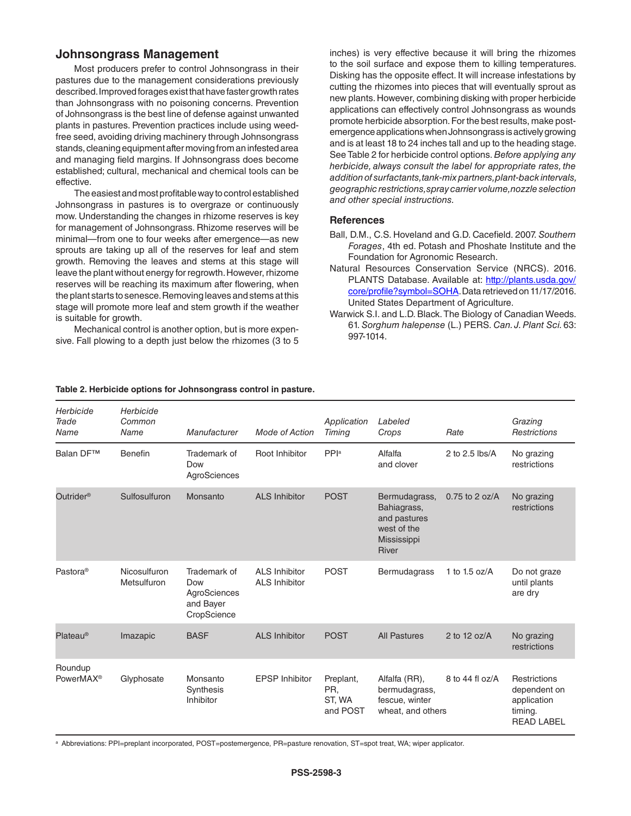## **Johnsongrass Management**

Most producers prefer to control Johnsongrass in their pastures due to the management considerations previously described. Improved forages exist that have faster growth rates than Johnsongrass with no poisoning concerns. Prevention of Johnsongrass is the best line of defense against unwanted plants in pastures. Prevention practices include using weedfree seed, avoiding driving machinery through Johnsongrass stands, cleaning equipment after moving from an infested area and managing field margins. If Johnsongrass does become established; cultural, mechanical and chemical tools can be effective.

The easiest and most profitable way to control established Johnsongrass in pastures is to overgraze or continuously mow. Understanding the changes in rhizome reserves is key for management of Johnsongrass. Rhizome reserves will be minimal—from one to four weeks after emergence—as new sprouts are taking up all of the reserves for leaf and stem growth. Removing the leaves and stems at this stage will leave the plant without energy for regrowth. However, rhizome reserves will be reaching its maximum after flowering, when the plant starts to senesce. Removing leaves and stems at this stage will promote more leaf and stem growth if the weather is suitable for growth.

Mechanical control is another option, but is more expensive. Fall plowing to a depth just below the rhizomes (3 to 5

inches) is very effective because it will bring the rhizomes to the soil surface and expose them to killing temperatures. Disking has the opposite effect. It will increase infestations by cutting the rhizomes into pieces that will eventually sprout as new plants. However, combining disking with proper herbicide applications can effectively control Johnsongrass as wounds promote herbicide absorption. For the best results, make postemergence applications when Johnsongrass is actively growing and is at least 18 to 24 inches tall and up to the heading stage. See Table 2 for herbicide control options. *Before applying any herbicide, always consult the label for appropriate rates, the addition of surfactants, tank-mix partners, plant-back intervals, geographic restrictions, spray carrier volume, nozzle selection and other special instructions.*

#### **References**

- Ball, D.M., C.S. Hoveland and G.D. Cacefield. 2007. *Southern Forages*, 4th ed. Potash and Phoshate Institute and the Foundation for Agronomic Research.
- Natural Resources Conservation Service (NRCS). 2016. PLANTS Database. Available at: http://plants.usda.gov/ core/profile?symbol=SOHA. Data retrieved on 11/17/2016. United States Department of Agriculture.
- Warwick S.I. and L.D. Black. The Biology of Canadian Weeds. 61. *Sorghum halepense* (L.) PERS. *Can. J. Plant Sci.* 63: 997-1014.

| Herbicide<br>Trade<br>Name       | Herbicide<br>Common<br>Name | Manufacturer                                                    | <b>Mode of Action</b>                        | Application<br>Timing                  | Labeled<br>Crops                                                                           | Rate             | Grazing<br>Restrictions                                                            |
|----------------------------------|-----------------------------|-----------------------------------------------------------------|----------------------------------------------|----------------------------------------|--------------------------------------------------------------------------------------------|------------------|------------------------------------------------------------------------------------|
| <b>Balan DF™</b>                 | Benefin                     | Trademark of<br>Dow<br>AgroSciences                             | Root Inhibitor                               | PPIa                                   | Alfalfa<br>and clover                                                                      | 2 to 2.5 lbs/A   | No grazing<br>restrictions                                                         |
| Outrider <sup>®</sup>            | Sulfosulfuron               | Monsanto                                                        | <b>ALS Inhibitor</b>                         | <b>POST</b>                            | Bermudagrass,<br>Bahiagrass,<br>and pastures<br>west of the<br>Mississippi<br><b>River</b> | $0.75$ to 2 oz/A | No grazing<br>restrictions                                                         |
| Pastora <sup>®</sup>             | Nicosulfuron<br>Metsulfuron | Trademark of<br>Dow<br>AgroSciences<br>and Bayer<br>CropScience | <b>ALS Inhibitor</b><br><b>ALS Inhibitor</b> | <b>POST</b>                            | Bermudagrass                                                                               | 1 to 1.5 oz/ $A$ | Do not graze<br>until plants<br>are dry                                            |
| $Plateau^{\circledcirc}$         | Imazapic                    | <b>BASF</b>                                                     | <b>ALS Inhibitor</b>                         | <b>POST</b>                            | <b>All Pastures</b>                                                                        | 2 to 12 $oz/A$   | No grazing<br>restrictions                                                         |
| Roundup<br>PowerMAX <sup>®</sup> | Glyphosate                  | Monsanto<br>Synthesis<br>Inhibitor                              | <b>EPSP</b> Inhibitor                        | Preplant,<br>PR.<br>ST, WA<br>and POST | Alfalfa (RR),<br>bermudagrass,<br>fescue, winter<br>wheat, and others                      | 8 to 44 fl oz/A  | <b>Restrictions</b><br>dependent on<br>application<br>timing.<br><b>READ LABEL</b> |

#### **Table 2. Herbicide options for Johnsongrass control in pasture.**

a Abbreviations: PPI=preplant incorporated, POST=postemergence, PR=pasture renovation, ST=spot treat, WA; wiper applicator.